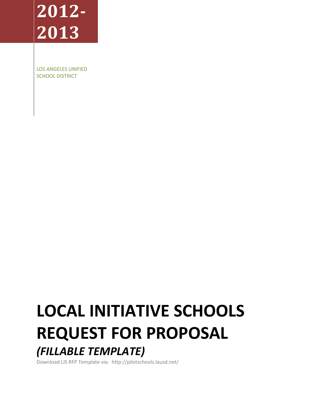# **2012- 2013**

LOS ANGELES UNIFIED SCHOOL DISTRICT

## **LOCAL INITIATIVE SCHOOLS REQUEST FOR PROPOSAL** *(FILLABLE TEMPLATE)*

Download LIS RFP Template via: http://pilotschools.lausd.net/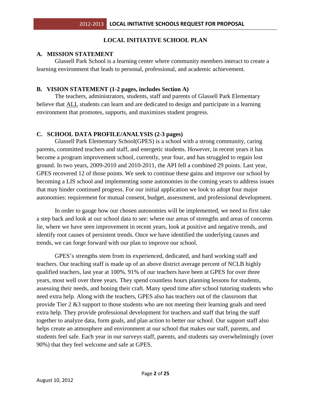## **LOCAL INITIATIVE SCHOOL PLAN**

## **A. MISSION STATEMENT**

Glassell Park School is a learning center where community members interact to create a learning environment that leads to personal, professional, and academic achievement.

## **B. VISION STATEMENT (1-2 pages, includes Section A)**

The teachers, administrators, students, staff and parents of Glassell Park Elementary believe that ALL students can learn and are dedicated to design and participate in a learning environment that promotes, supports, and maximizes student progress.

## **C. SCHOOL DATA PROFILE/ANALYSIS (2-3 pages)**

Glassell Park Elementary School(GPES) is a school with a strong community, caring parents, committed teachers and staff, and energetic students. However, in recent years it has become a program improvement school, currently, year four, and has struggled to regain lost ground. In two years, 2009-2010 and 2010-2011, the API fell a combined 29 points. Last year, GPES recovered 12 of those points. We seek to continue these gains and improve our school by becoming a LIS school and implementing some autonomies in the coming years to address issues that may hinder continued progress. For our initial application we look to adopt four major autonomies: requirement for mutual consent, budget, assessment, and professional development.

In order to gauge how our chosen autonomies will be implemented, we need to first take a step back and look at our school data to see: where our areas of strengths and areas of concerns lie, where we have seen improvement in recent years, look at positive and negative trends, and identify root causes of persistent trends. Once we have identified the underlying causes and trends, we can forge forward with our plan to improve our school.

GPES's strengths stem from its experienced, dedicated, and hard working staff and teachers. Our teaching staff is made up of an above district average percent of NCLB highly qualified teachers, last year at 100%. 91% of our teachers have been at GPES for over three years, most well over three years. They spend countless hours planning lessons for students, assessing their needs, and honing their craft. Many spend time after school tutoring students who need extra help. Along with the teachers, GPES also has teachers out of the classroom that provide Tier 2 &3 support to those students who are not meeting their learning goals and need extra help. They provide professional development for teachers and staff that bring the staff together to analyze data, form goals, and plan action to better our school. Our support staff also helps create an atmosphere and environment at our school that makes our staff, parents, and students feel safe. Each year in our surveys staff, parents, and students say overwhelmingly (over 90%) that they feel welcome and safe at GPES.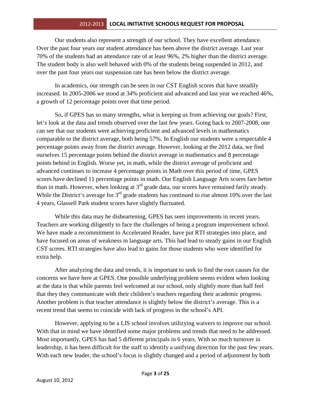Our students also represent a strength of our school. They have excellent attendance. Over the past four years our student attendance has been above the district average. Last year 70% of the students had an attendance rate of at least 96%, 2% higher than the district average. The student body is also well behaved with 0% of the students being suspended in 2012, and over the past four years our suspension rate has been below the district average.

In academics, our strength can be seen in our CST English scores that have steadily increased. In 2005-2006 we stood at 34% proficient and advanced and last year we reached 46%, a growth of 12 percentage points over that time period.

So, if GPES has so many strengths, what is keeping us from achieving our goals? First, let's look at the data and trends observed over the last few years. Going back to 2007-2008, one can see that our students were achieving proficient and advanced levels in mathematics comparable to the district average, both being 57%. In English our students were a respectable 4 percentage points away from the district average. However, looking at the 2012 data, we find ourselves 15 percentage points behind the district average in mathematics and 8 percentage points behind in English. Worse yet, in math, while the district average of proficient and advanced continues to increase 4 percentage points in Math over this period of time, GPES scores have declined 11 percentage points in math. Our English Language Arts scores fare better than in math. However, when looking at  $3<sup>rd</sup>$  grade data, our scores have remained farily steady. While the District's average for  $3<sup>rd</sup>$  grade students has continued to rise almost 10% over the last 4 years, Glassell Park student scores have slightly fluctuated.

While this data may be disheartening, GPES has seen improvements in recent years. Teachers are working diligently to face the challenges of being a program improvement school. We have made a recommitment to Accelerated Reader, have put RTI strategies into place, and have focused on areas of weakness in language arts. This had lead to steady gains in our English CST scores. RTI strategies have also lead to gains for those students who were identified for extra help.

After analyzing the data and trends, it is important to seek to find the root causes for the concerns we have here at GPES. One possible underlying problem seems evident when looking at the data is that while parents feel welcomed at our school, only slightly more than half feel that they they communicate with their children's teachers regarding their academic progress. Another problem is that teacher attendance is slightly below the district's average. This is a recent trend that seems to coincide with lack of progress in the school's API.

However, applying to be a LIS school involves utilizying waivers to improve our school. With that in mind we have identified some major problems and trends that need to be addressed. Most importantly, GPES has had 5 different principals in 6 years. With so much turnover in leadership, it has been difficult for the staff to identify a unifying direction for the past few years. With each new leader, the school's focus is slightly changed and a period of adjustment by both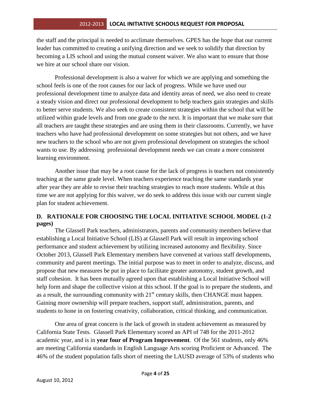the staff and the principal is needed to acclimate themselves. GPES has the hope that our current leader has committed to creating a unifying direction and we seek to solidify that direction by becoming a LIS school and using the mutual consent waiver. We also want to ensure that those we hire at our school share our vision.

Professional development is also a waiver for which we are applying and something the school feels is one of the root causes for our lack of progress. While we have used our professional development time to analyze data and identity areas of need, we also need to create a steady vision and direct our professional development to help teachers gain strategies and skills to better serve students. We also seek to create consistent strategies within the school that will be utilized within grade levels and from one grade to the next. It is important that we make sure that all teachers are taught these strategies and are using them in their classrooms. Currently, we have teachers who have had professional development on some strategies but not others, and we have new teachers to the school who are not given professional development on strategies the school wants to use. By addressing professional development needs we can create a more consistent learning environment.

Another issue that may be a root cause for the lack of progress is teachers not consistently teaching at the same grade level. When teachers experience teaching the same standards year after year they are able to revise their teaching strategies to reach more students. While at this time we are not applying for this waiver, we do seek to address this issue with our current single plan for student achievement.

## **D. RATIONALE FOR CHOOSING THE LOCAL INITIATIVE SCHOOL MODEL (1-2 pages)**

The Glassell Park teachers, administrators, parents and community members believe that establishing a Local Initiative School (LIS) at Glassell Park will result in improving school performance and student achievement by utilizing increased autonomy and flexibility. Since October 2013, Glassell Park Elementary members have convened at various staff developments, community and parent meetings. The initial purpose was to meet in order to analyze, discuss, and propose that new measures be put in place to facilitate greater autonomy, student growth, and staff cohesion. It has been mutually agreed upon that establishing a Local Initiative School will help form and shape the collective vision at this school. If the goal is to prepare the students, and as a result, the surrounding community with  $21<sup>st</sup>$  century skills, then CHANGE must happen. Gaining more ownership will prepare teachers, support staff, administration, parents, and students to hone in on fostering creativity, collaboration, critical thinking, and communication.

One area of great concern is the lack of growth in student achievement as measured by California State Tests. Glassell Park Elementary scored an API of 748 for the 2011-2012 academic year, and is in **year four of Program Improvement**. Of the 561 students, only 46% are meeting California standards in English Language Arts scoring Proficient or Advanced. The 46% of the student population falls short of meeting the LAUSD average of 53% of students who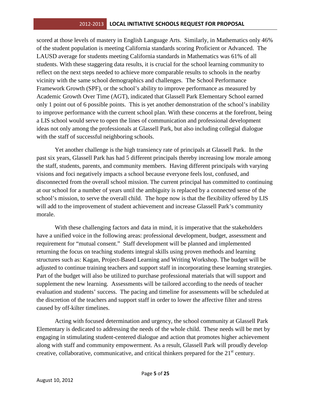scored at those levels of mastery in English Language Arts. Similarly, in Mathematics only 46% of the student population is meeting California standards scoring Proficient or Advanced. The LAUSD average for students meeting California standards in Mathematics was 61% of all students. With these staggering data results, it is crucial for the school learning community to reflect on the next steps needed to achieve more comparable results to schools in the nearby vicinity with the same school demographics and challenges. The School Performance Framework Growth (SPF), or the school's ability to improve performance as measured by Academic Growth Over Time (AGT), indicated that Glassell Park Elementary School earned only 1 point out of 6 possible points. This is yet another demonstration of the school's inability to improve performance with the current school plan. With these concerns at the forefront, being a LIS school would serve to open the lines of communication and professional development ideas not only among the professionals at Glassell Park, but also including collegial dialogue with the staff of successful neighboring schools.

Yet another challenge is the high transiency rate of principals at Glassell Park. In the past six years, Glassell Park has had 5 different principals thereby increasing low morale among the staff, students, parents, and community members. Having different principals with varying visions and foci negatively impacts a school because everyone feels lost, confused, and disconnected from the overall school mission. The current principal has committed to continuing at our school for a number of years until the ambiguity is replaced by a connected sense of the school's mission, to serve the overall child. The hope now is that the flexibility offered by LIS will add to the improvement of student achievement and increase Glassell Park's community morale.

With these challenging factors and data in mind, it is imperative that the stakeholders have a unified voice in the following areas: professional development, budget, assessment and requirement for "mutual consent." Staff development will be planned and implemented returning the focus on teaching students integral skills using proven methods and learning structures such as: Kagan, Project-Based Learning and Writing Workshop. The budget will be adjusted to continue training teachers and support staff in incorporating these learning strategies. Part of the budget will also be utilized to purchase professional materials that will support and supplement the new learning. Assessments will be tailored according to the needs of teacher evaluation and students' success. The pacing and timeline for assessments will be scheduled at the discretion of the teachers and support staff in order to lower the affective filter and stress caused by off-kilter timelines.

Acting with focused determination and urgency, the school community at Glassell Park Elementary is dedicated to addressing the needs of the whole child. These needs will be met by engaging in stimulating student-centered dialogue and action that promotes higher achievement along with staff and community empowerment. As a result, Glassell Park will proudly develop creative, collaborative, communicative, and critical thinkers prepared for the 21<sup>st</sup> century.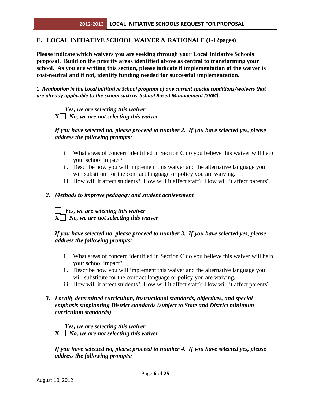#### **E. LOCAL INITIATIVE SCHOOL WAIVER & RATIONALE (1-12pages)**

**Please indicate which waivers you are seeking through your Local Initiative Schools proposal. Build on the priority areas identified above as central to transforming your school. As you are writing this section, please indicate if implementation of the waiver is cost-neutral and if not, identify funding needed for successful implementation.** 

1. *Readoption in the Local Inititative School program of any current special conditions/waivers that are already applicable to the school such as School Based Management (SBM).*

 *Yes, we are selecting this waiver* **X** *No, we are not selecting this waiver*

## *If you have selected no, please proceed to number 2. If you have selected yes, please address the following prompts:*

- i. What areas of concern identified in Section C do you believe this waiver will help your school impact?
- ii. Describe how you will implement this waiver and the alternative language you will substitute for the contract language or policy you are waiving.
- iii. How will it affect students? How will it affect staff? How will it affect parents?

#### *2. Methods to improve pedagogy and student achievement*

 *Yes, we are selecting this waiver*  $X$ *No, we are not selecting this waiver* 

#### *If you have selected no, please proceed to number 3. If you have selected yes, please address the following prompts:*

- i. What areas of concern identified in Section C do you believe this waiver will help your school impact?
- ii. Describe how you will implement this waiver and the alternative language you will substitute for the contract language or policy you are waiving.
- iii. How will it affect students? How will it affect staff? How will it affect parents?

#### *3. Locally determined curriculum, instructional standards, objectives, and special emphasis supplanting District standards (subject to State and District minimum curriculum standards)*

*Yes, we are selecting this waiver* **X** *No, we are not selecting this waiver*

*If you have selected no, please proceed to number 4. If you have selected yes, please address the following prompts:*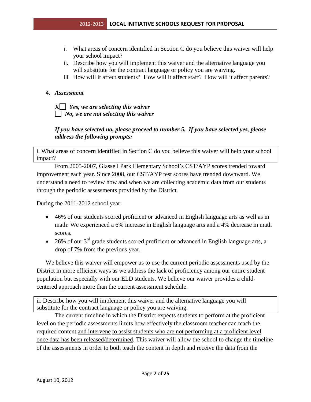- i. What areas of concern identified in Section C do you believe this waiver will help your school impact?
- ii. Describe how you will implement this waiver and the alternative language you will substitute for the contract language or policy you are waiving.
- iii. How will it affect students? How will it affect staff? How will it affect parents?

#### 4. *Assessment*

**X** *Yes, we are selecting this waiver No, we are not selecting this waiver*

## *If you have selected no, please proceed to number 5. If you have selected yes, please address the following prompts:*

i. What areas of concern identified in Section C do you believe this waiver will help your school impact?

From 2005-2007, Glassell Park Elementary School's CST/AYP scores trended toward improvement each year. Since 2008, our CST/AYP test scores have trended downward. We understand a need to review how and when we are collecting academic data from our students through the periodic assessments provided by the District.

During the 2011-2012 school year:

- 46% of our students scored proficient or advanced in English language arts as well as in math: We experienced a 6% increase in English language arts and a 4% decrease in math scores.
- 26% of our  $3<sup>rd</sup>$  grade students scored proficient or advanced in English language arts, a drop of 7% from the previous year.

We believe this waiver will empower us to use the current periodic assessments used by the District in more efficient ways as we address the lack of proficiency among our entire student population but especially with our ELD students. We believe our waiver provides a childcentered approach more than the current assessment schedule.

ii. Describe how you will implement this waiver and the alternative language you will substitute for the contract language or policy you are waiving.

The current timeline in which the District expects students to perform at the proficient level on the periodic assessments limits how effectively the classroom teacher can teach the required content and intervene to assist students who are not performing at a proficient level once data has been released/determined. This waiver will allow the school to change the timeline of the assessments in order to both teach the content in depth and receive the data from the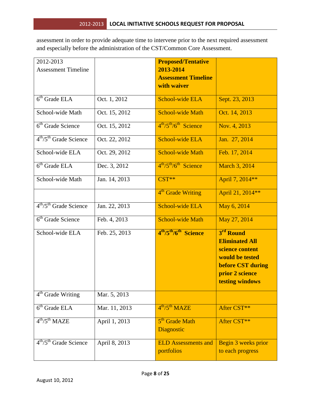assessment in order to provide adequate time to intervene prior to the next required assessment and especially before the administration of the CST/Common Core Assessment.

| 2012-2013                                  |               | <b>Proposed/Tentative</b>                                 |                                                                                                                                     |
|--------------------------------------------|---------------|-----------------------------------------------------------|-------------------------------------------------------------------------------------------------------------------------------------|
| <b>Assessment Timeline</b>                 |               | 2013-2014<br><b>Assessment Timeline</b>                   |                                                                                                                                     |
|                                            |               | with waiver                                               |                                                                                                                                     |
| $6th$ Grade ELA                            | Oct. 1, 2012  | <b>School-wide ELA</b>                                    | Sept. 23, 2013                                                                                                                      |
| School-wide Math                           | Oct. 15, 2012 | <b>School-wide Math</b>                                   | Oct. 14, 2013                                                                                                                       |
| 6 <sup>th</sup> Grade Science              | Oct. 15, 2012 | $4th/5th/6th$ Science                                     | Nov. 4, 2013                                                                                                                        |
| $4th/5th$ Grade Science                    | Oct. 22, 2012 | <b>School-wide ELA</b>                                    | Jan. 27, 2014                                                                                                                       |
| School-wide ELA                            | Oct. 29, 2012 | <b>School-wide Math</b>                                   | Feb. 17, 2014                                                                                                                       |
| $6th$ Grade ELA                            | Dec. 3, 2012  | $4^{\text{th}}/5^{\text{th}}/6^{\text{th}}$ Science       | March 3, 2014                                                                                                                       |
| School-wide Math                           | Jan. 14, 2013 | $CST**$                                                   | April 7, 2014**                                                                                                                     |
|                                            |               | 4 <sup>th</sup> Grade Writing                             | April 21, 2014**                                                                                                                    |
| $4th/5th$ Grade Science                    | Jan. 22, 2013 | School-wide ELA                                           | May 6, 2014                                                                                                                         |
| $\overline{6}$ <sup>th</sup> Grade Science | Feb. 4, 2013  | <b>School-wide Math</b>                                   | May 27, 2014                                                                                                                        |
| School-wide ELA                            | Feb. 25, 2013 | 4 <sup>th</sup> /5 <sup>th</sup> /6 <sup>th</sup> Science | 3 <sup>rd</sup> Round<br><b>Eliminated All</b><br>science content<br>would be tested<br><b>before CST during</b><br>prior 2 science |
|                                            |               |                                                           | testing windows                                                                                                                     |
| 4 <sup>th</sup> Grade Writing              | Mar. 5, 2013  |                                                           |                                                                                                                                     |
| $6th$ Grade ELA                            | Mar. 11, 2013 | $4^{th}/5^{th}$ MAZE                                      | After CST**                                                                                                                         |
| $4^{th}/5^{th}$ MAZE                       | April 1, 2013 | 5 <sup>th</sup> Grade Math<br><b>Diagnostic</b>           | After CST**                                                                                                                         |
| $4th/5th$ Grade Science                    | April 8, 2013 | <b>ELD Assessments and</b><br>portfolios                  | Begin 3 weeks prior<br>to each progress                                                                                             |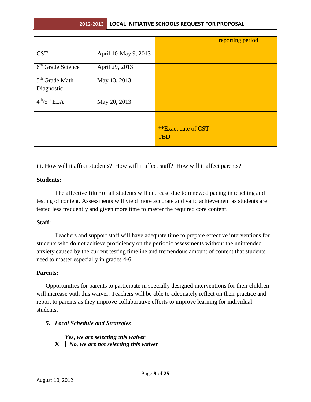|                            |                      |                     | reporting period. |
|----------------------------|----------------------|---------------------|-------------------|
| <b>CST</b>                 | April 10-May 9, 2013 |                     |                   |
| $6th$ Grade Science        | April 29, 2013       |                     |                   |
| 5 <sup>th</sup> Grade Math | May 13, 2013         |                     |                   |
| Diagnostic                 |                      |                     |                   |
| $4^{th}/5^{th}$ ELA        | May 20, 2013         |                     |                   |
|                            |                      |                     |                   |
|                            |                      | **Exact date of CST |                   |
|                            |                      | <b>TBD</b>          |                   |

iii. How will it affect students? How will it affect staff? How will it affect parents?

#### **Students:**

The affective filter of all students will decrease due to renewed pacing in teaching and testing of content. Assessments will yield more accurate and valid achievement as students are tested less frequently and given more time to master the required core content.

#### **Staff:**

Teachers and support staff will have adequate time to prepare effective interventions for students who do not achieve proficiency on the periodic assessments without the unintended anxiety caused by the current testing timeline and tremendous amount of content that students need to master especially in grades 4-6.

#### **Parents:**

Opportunities for parents to participate in specially designed interventions for their children will increase with this waiver: Teachers will be able to adequately reflect on their practice and report to parents as they improve collaborative efforts to improve learning for individual students.

#### *5. Local Schedule and Strategies*

 *Yes, we are selecting this waiver* **X** *No, we are not selecting this waiver*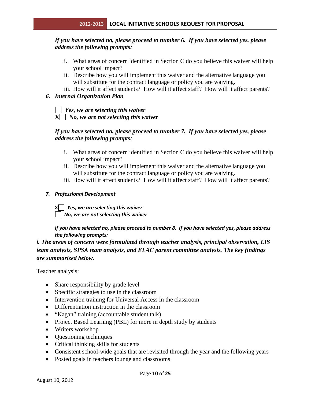## *If you have selected no, please proceed to number 6. If you have selected yes, please address the following prompts:*

- i. What areas of concern identified in Section C do you believe this waiver will help your school impact?
- ii. Describe how you will implement this waiver and the alternative language you will substitute for the contract language or policy you are waiving.
- iii. How will it affect students? How will it affect staff? How will it affect parents?

## *6. Internal Organization Plan*

 *Yes, we are selecting this waiver* **X** *No, we are not selecting this waiver*

## *If you have selected no, please proceed to number 7. If you have selected yes, please address the following prompts:*

- i. What areas of concern identified in Section C do you believe this waiver will help your school impact?
- ii. Describe how you will implement this waiver and the alternative language you will substitute for the contract language or policy you are waiving.
- iii. How will it affect students? How will it affect staff? How will it affect parents?

#### *7. Professional Development*

**X** *Yes, we are selecting this waiver No, we are not selecting this waiver*

*If you have selected no, please proceed to number 8. If you have selected yes, please address the following prompts:*

*i. The areas of concern were formulated through teacher analysis, principal observation, LIS team analysis, SPSA team analysis, and ELAC parent committee analysis. The key findings are summarized below.* 

Teacher analysis:

- Share responsibility by grade level
- Specific strategies to use in the classroom
- Intervention training for Universal Access in the classroom
- Differentiation instruction in the classroom
- "Kagan" training (accountable student talk)
- Project Based Learning (PBL) for more in depth study by students
- Writers workshop
- Questioning techniques
- Critical thinking skills for students
- Consistent school-wide goals that are revisited through the year and the following years
- Posted goals in teachers lounge and classrooms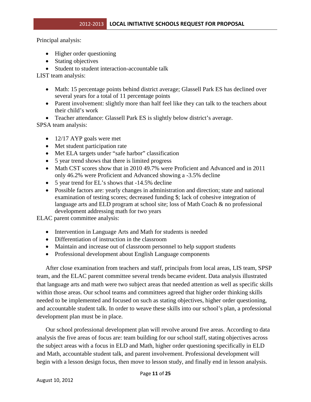Principal analysis:

- Higher order questioning
- Stating objectives
- Student to student interaction-accountable talk

LIST team analysis:

- Math: 15 percentage points behind district average; Glassell Park ES has declined over several years for a total of 11 percentage points
- Parent involvement: slightly more than half feel like they can talk to the teachers about their child's work
- Teacher attendance: Glassell Park ES is slightly below district's average.

SPSA team analysis:

- 12/17 AYP goals were met
- Met student participation rate
- Met ELA targets under "safe harbor" classification
- 5 year trend shows that there is limited progress
- Math CST scores show that in 2010 49.7% were Proficient and Advanced and in 2011 only 46.2% were Proficient and Advanced showing a -3.5% decline
- 5 year trend for EL's shows that -14.5% decline
- Possible factors are: yearly changes in administration and direction; state and national examination of testing scores; decreased funding \$; lack of cohesive integration of language arts and ELD program at school site; loss of Math Coach & no professional development addressing math for two years

ELAC parent committee analysis:

- Intervention in Language Arts and Math for students is needed
- Differentiation of instruction in the classroom
- Maintain and increase out of classroom personnel to help support students
- Professional development about English Language components

After close examination from teachers and staff, principals from local areas, LIS team, SPSP team, and the ELAC parent committee several trends became evident. Data analysis illustrated that language arts and math were two subject areas that needed attention as well as specific skills within those areas. Our school teams and committees agreed that higher order thinking skills needed to be implemented and focused on such as stating objectives, higher order questioning, and accountable student talk. In order to weave these skills into our school's plan, a professional development plan must be in place.

Our school professional development plan will revolve around five areas. According to data analysis the five areas of focus are: team building for our school staff, stating objectives across the subject areas with a focus in ELD and Math, higher order questioning specifically in ELD and Math, accountable student talk, and parent involvement. Professional development will begin with a lesson design focus, then move to lesson study, and finally end in lesson analysis.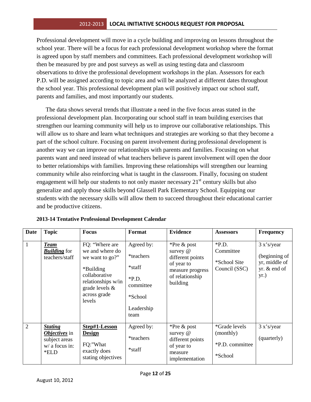Professional development will move in a cycle building and improving on lessons throughout the school year. There will be a focus for each professional development workshop where the format is agreed upon by staff members and committees. Each professional development workshop will then be measured by pre and post surveys as well as using testing data and classroom observations to drive the professional development workshops in the plan. Assessors for each P.D. will be assigned according to topic area and will be analyzed at different dates throughout the school year. This professional development plan will positively impact our school staff, parents and families, and most importantly our students.

The data shows several trends that illustrate a need in the five focus areas stated in the professional development plan. Incorporating our school staff in team building exercises that strengthen our learning community will help us to improve our collaborative relationships. This will allow us to share and learn what techniques and strategies are working so that they become a part of the school culture. Focusing on parent involvement during professional development is another way we can improve our relationships with parents and families. Focusing on what parents want and need instead of what teachers believe is parent involvement will open the door to better relationships with families. Improving these relationships will strengthen our learning community while also reinforcing what is taught in the classroom. Finally, focusing on student engagement will help our students to not only master necessary  $21<sup>st</sup>$  century skills but also generalize and apply those skills beyond Glassell Park Elementary School. Equipping our students with the necessary skills will allow them to succeed throughout their educational carrier and be productive citizens.

| Date           | <b>Topic</b>                                                                                 | <b>Focus</b>                                                                                                                                            | Format                                                                                     | <b>Evidence</b>                                                                                              | <b>Assessors</b>                                                | <b>Frequency</b>                                                     |
|----------------|----------------------------------------------------------------------------------------------|---------------------------------------------------------------------------------------------------------------------------------------------------------|--------------------------------------------------------------------------------------------|--------------------------------------------------------------------------------------------------------------|-----------------------------------------------------------------|----------------------------------------------------------------------|
| $\mathbf{1}$   | <b>Team</b><br><b>Building</b> for<br>teachers/staff                                         | FQ: "Where are<br>we and where do<br>we want to go?"<br>*Building<br>collaborative<br>relationships w/in<br>grade levels $\&$<br>across grade<br>levels | Agreed by:<br>*teachers<br>*staff<br>$*P.D.$<br>committee<br>*School<br>Leadership<br>team | *Pre & post<br>survey @<br>different points<br>of year to<br>measure progress<br>of relationship<br>building | $*P.D.$<br>Committee<br>*School Site<br>Council (SSC)           | 3 x's/year<br>(beginning of<br>yr, middle of<br>yr. & end of<br>yr.) |
| $\overline{2}$ | <b>Stating</b><br><i><b>Objectives</b></i> in<br>subject areas<br>$w/$ a focus in:<br>$*ELD$ | Step#1-Lesson<br><b>Design</b><br>FQ:"What<br>exactly does<br>stating objectives                                                                        | Agreed by:<br>*teachers<br>*staff                                                          | *Pre $\&$ post<br>survey $@$<br>different points<br>of year to<br>measure<br>implementation                  | <i>*Grade levels</i><br>(monthly)<br>*P.D. committee<br>*School | 3 x's/year<br>(quarterly)                                            |

| 2013-14 Tentative Professional Development Calendar |  |
|-----------------------------------------------------|--|
|-----------------------------------------------------|--|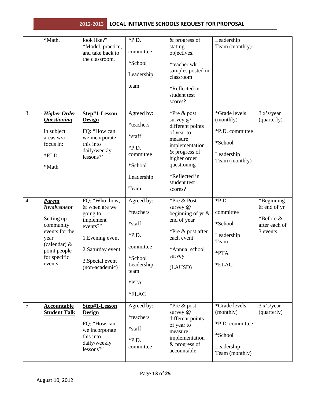|                | *Math.                                                                                                                                               | look like?"<br>*Model, practice,<br>and take back to<br>the classroom.                                                                              | $*P.D.$<br>committee<br>*School<br>Leadership<br>team                                                         | & progress of<br>stating<br>objectives.<br>*teacher wk<br>samples posted in<br>classroom<br>*Reflected in<br>student test<br>scores?                                               | Leadership<br>Team (monthly)                                                             |                                                                     |
|----------------|------------------------------------------------------------------------------------------------------------------------------------------------------|-----------------------------------------------------------------------------------------------------------------------------------------------------|---------------------------------------------------------------------------------------------------------------|------------------------------------------------------------------------------------------------------------------------------------------------------------------------------------|------------------------------------------------------------------------------------------|---------------------------------------------------------------------|
| 3              | <b>Higher Order</b><br><b>Questioning</b><br>in subject<br>areas w/a<br>focus in:<br>*ELD<br>*Math                                                   | Step#1-Lesson<br><b>Design</b><br>FQ: "How can<br>we incorporate<br>this into<br>daily/weekly<br>lessons?'                                          | Agreed by:<br>*teachers<br>*staff<br>$*P.D.$<br>committee<br>*School<br>Leadership<br>Team                    | *Pre & post<br>survey @<br>different points<br>of year to<br>measure<br>implementation<br>& progress of<br>higher order<br>questioning<br>*Reflected in<br>student test<br>scores? | *Grade levels<br>(monthly)<br>*P.D. committee<br>*School<br>Leadership<br>Team (monthly) | 3 x's/year<br>(quarterly)                                           |
| $\overline{4}$ | <b>Parent</b><br><b>Involvement</b><br>Setting up<br>community<br>events for the<br>year<br>(calendar) $&$<br>point people<br>for specific<br>events | FQ: "Who, how,<br>& when are we<br>going to<br>implement<br>events?"<br>1. Evening event<br>2. Saturday event<br>3. Special event<br>(non-academic) | Agreed by:<br>*teachers<br>*staff<br>$*P.D.$<br>committee<br>*School<br>Leadership<br>team<br>$*PTA$<br>*ELAC | *Pre & Post<br>survey $@$<br>beginning of yr $\&$<br>end of year<br>*Pre & post after<br>each event<br>*Annual school<br>survey<br>(LAUSD)                                         | $*P.D.$<br>committee<br>*School<br>Leadership<br>Team<br>*PTA<br>*ELAC                   | *Beginning<br>& end of yr<br>*Before &<br>after each of<br>3 events |
| $\mathfrak{S}$ | <b>Accountable</b><br><b>Student Talk</b>                                                                                                            | Step#1-Lesson<br><b>Design</b><br>FQ: "How can<br>we incorporate<br>this into<br>daily/weekly<br>lessons?"                                          | Agreed by:<br>*teachers<br>*staff<br>$*P.D.$<br>committee                                                     | *Pre & post<br>survey @<br>different points<br>of year to<br>measure<br>implementation<br>& progress of<br>accountable                                                             | *Grade levels<br>(monthly)<br>*P.D. committee<br>*School<br>Leadership<br>Team (monthly) | 3 x's/year<br>(quarterly)                                           |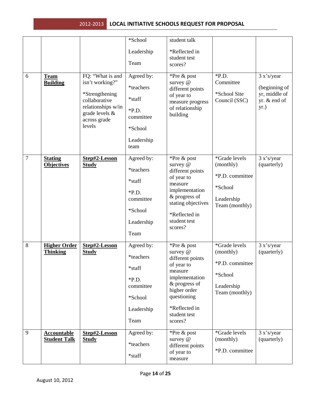|                |                                |                                         | *School            | student talk                        |                              |                                |
|----------------|--------------------------------|-----------------------------------------|--------------------|-------------------------------------|------------------------------|--------------------------------|
|                |                                |                                         | Leadership         | *Reflected in                       |                              |                                |
|                |                                |                                         |                    | student test                        |                              |                                |
|                |                                |                                         | Team               | scores?                             |                              |                                |
| 6              | <b>Team</b><br><b>Building</b> | FQ: "What is and<br>isn't working?"     | Agreed by:         | *Pre & post<br>survey @             | $*P.D.$<br>Committee         | 3 x's/year                     |
|                |                                | *Strengthening                          | *teachers          | different points                    | *School Site                 | (beginning of<br>yr, middle of |
|                |                                | collaborative                           | *staff             | of year to<br>measure progress      | Council (SSC)                | yr. & end of                   |
|                |                                | relationships w/in<br>grade levels $\&$ | $*P.D.$            | of relationship<br>building         |                              | yr.)                           |
|                |                                | across grade<br>levels                  | committee          |                                     |                              |                                |
|                |                                |                                         | *School            |                                     |                              |                                |
|                |                                |                                         | Leadership<br>team |                                     |                              |                                |
| $\overline{7}$ | <b>Stating</b>                 | Step#2-Lesson                           | Agreed by:         | *Pre & post                         | *Grade levels                | 3 x's/year                     |
|                | <b>Objectives</b>              | <b>Study</b>                            | *teachers          | survey @<br>different points        | (monthly)                    | (quarterly)                    |
|                |                                |                                         | *staff             | of year to                          | *P.D. committee              |                                |
|                |                                |                                         | $*P.D.$            | measure<br>implementation           | *School                      |                                |
|                |                                |                                         | committee          | & progress of<br>stating objectives | Leadership<br>Team (monthly) |                                |
|                |                                |                                         | *School            | *Reflected in                       |                              |                                |
|                |                                |                                         | Leadership         | student test<br>scores?             |                              |                                |
|                |                                |                                         | Team               |                                     |                              |                                |
| 8              | <b>Higher Order</b>            | Step#2-Lesson                           | Agreed by:         | *Pre & post                         | *Grade levels                | 3 x's/year                     |
|                | <b>Thinking</b>                | <b>Study</b>                            | *teachers          | survey @<br>different points        | (monthly)                    | (quarterly)                    |
|                |                                |                                         | *staff             | of year to<br>measure               | *P.D. committee              |                                |
|                |                                |                                         | $*P.D.$            | implementation                      | *School                      |                                |
|                |                                |                                         | committee          | & progress of<br>higher order       | Leadership<br>Team (monthly) |                                |
|                |                                |                                         | *School            | questioning                         |                              |                                |
|                |                                |                                         | Leadership         | *Reflected in<br>student test       |                              |                                |
|                |                                |                                         | Team               | scores?                             |                              |                                |
| 9              | <b>Accountable</b>             | Step#2-Lesson                           | Agreed by:         | *Pre & post                         | *Grade levels                | 3 x's/year                     |
|                | <b>Student Talk</b>            | <b>Study</b>                            | *teachers          | survey @<br>different points        | (monthly)                    | (quarterly)                    |
|                |                                |                                         | *staff             | of year to<br>measure               | *P.D. committee              |                                |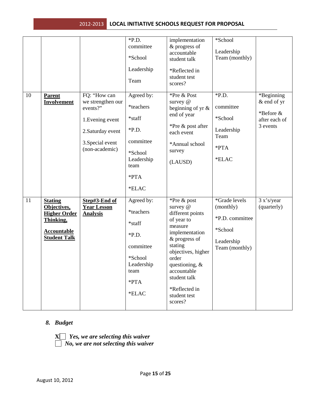| 10 | <b>Parent</b><br>Involvement                                                                            | FQ: "How can<br>we strengthen our<br>events?"<br>1. Evening event<br>2. Saturday event<br>3. Special event<br>(non-academic) | $*P.D.$<br>committee<br>*School<br>Leadership<br>Team<br>Agreed by:<br>*teachers<br>*staff<br>$*P.D.$<br>committee<br>*School<br>Leadership<br>team<br>*PTA<br>*ELAC | implementation<br>& progress of<br>accountable<br>student talk<br>*Reflected in<br>student test<br>scores?<br>*Pre & Post<br>survey @<br>beginning of yr $\&$<br>end of year<br>*Pre & post after<br>each event<br>*Annual school<br>survey<br>(LAUSD) | *School<br>Leadership<br>Team (monthly)<br>$*P.D.$<br>committee<br>*School<br>Leadership<br>Team<br>*PTA<br>*ELAC | *Beginning<br>& end of yr<br>*Before &<br>after each of<br>3 events |
|----|---------------------------------------------------------------------------------------------------------|------------------------------------------------------------------------------------------------------------------------------|----------------------------------------------------------------------------------------------------------------------------------------------------------------------|--------------------------------------------------------------------------------------------------------------------------------------------------------------------------------------------------------------------------------------------------------|-------------------------------------------------------------------------------------------------------------------|---------------------------------------------------------------------|
| 11 | <b>Stating</b><br>Objectives,<br><b>Higher Order</b><br>Thinking,<br>Accountable<br><b>Student Talk</b> | Step#3-End of<br><b>Year Lesson</b><br><b>Analysis</b>                                                                       | Agreed by:<br>*teachers<br>*staff<br>$*P.D.$<br>committee<br>*School<br>Leadership<br>team<br>$*PTA$<br>$*$ ELAC                                                     | *Pre & post<br>survey @<br>different points<br>of year to<br>measure<br>implementation<br>& progress of<br>stating<br>objectives, higher<br>order<br>questioning, $\&$<br>accountable<br>student talk<br>*Reflected in<br>student test<br>scores?      | *Grade levels<br>(monthly)<br>*P.D. committee<br>*School<br>Leadership<br>Team (monthly)                          | 3 x's/year<br>(quarterly)                                           |

## *8. Budget*

**X** *Yes, we are selecting this waiver No, we are not selecting this waiver*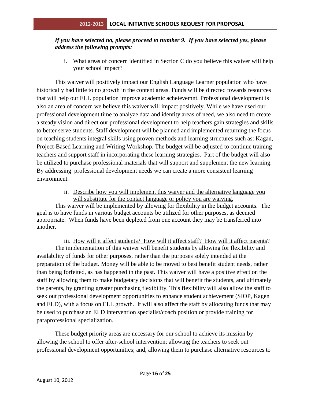## *If you have selected no, please proceed to number 9. If you have selected yes, please address the following prompts:*

i. What areas of concern identified in Section C do you believe this waiver will help your school impact?

This waiver will positively impact our English Language Learner population who have historically had little to no growth in the content areas. Funds will be directed towards resources that will help our ELL population improve academic acheievemnt. Professional development is also an area of concern we believe this waiver will impact positively. While we have used our professional development time to analyze data and identity areas of need, we also need to create a steady vision and direct our professional development to help teachers gain strategies and skills to better serve students. Staff development will be planned and implemented returning the focus on teaching students integral skills using proven methods and learning structures such as: Kagan, Project-Based Learning and Writing Workshop. The budget will be adjusted to continue training teachers and support staff in incorporating these learning strategies. Part of the budget will also be utilized to purchase professional materials that will support and supplement the new learning. By addressing professional development needs we can create a more consistent learning environment.

## ii. Describe how you will implement this waiver and the alternative language you will substitute for the contact language or policy you are waiving.

This waiver will be implemented by allowing for flexibility in the budget accounts. The goal is to have funds in various budget accounts be utilized for other purposes, as deemed appropriate. When funds have been depleted from one account they may be transferred into another.

iii. How will it affect students? How will it affect staff? How will it affect parents? The implementation of this waiver will benefit students by allowing for flexibility and availability of funds for other purposes, rather than the purposes solely intended at the preparation of the budget. Money will be able to be moved to best benefit student needs, rather than being forfeited, as has happened in the past. This waiver will have a positive effect on the staff by allowing them to make budgetary decisions that will benefit the students, and ultimately the parents, by granting greater purchasing flexibility. This flexibility will also allow the staff to seek out professional development opportunities to enhance student achievement (SIOP, Kagen and ELD), with a focus on ELL growth. It will also affect the staff by allocating funds that may be used to purchase an ELD intervention specialist/coach position or provide training for paraprofessional specialization.

These budget priority areas are necessary for our school to achieve its mission by allowing the school to offer after-school intervention; allowing the teachers to seek out professional development opportunities; and, allowing them to purchase alternative resources to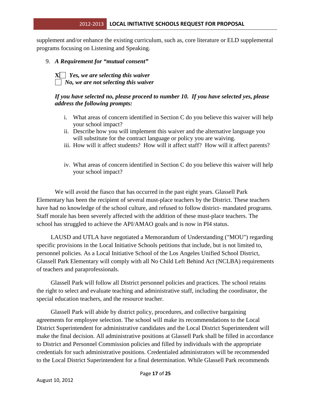supplement and/or enhance the existing curriculum, such as, core literature or ELD supplemental programs focusing on Listening and Speaking.

9. *A Requirement for "mutual consent"*

**X** *Yes, we are selecting this waiver No, we are not selecting this waiver*

#### *If you have selected no, please proceed to number 10. If you have selected yes, please address the following prompts:*

- i. What areas of concern identified in Section C do you believe this waiver will help your school impact?
- ii. Describe how you will implement this waiver and the alternative language you will substitute for the contract language or policy you are waiving.
- iii. How will it affect students? How will it affect staff? How will it affect parents?
- iv. What areas of concern identified in Section C do you believe this waiver will help your school impact?

We will avoid the fiasco that has occurred in the past eight years. Glassell Park Elementary has been the recipient of several must-place teachers by the District. These teachers have had no knowledge of the school culture, and refused to follow district- mandated programs. Staff morale has been severely affected with the addition of these must-place teachers. The school has struggled to achieve the API/AMAO goals and is now in PI4 status.

LAUSD and UTLA have negotiated a Memorandum of Understanding ("MOU") regarding specific provisions in the Local Initiative Schools petitions that include, but is not limited to, personnel policies. As a Local Initiative School of the Los Angeles Unified School District, Glassell Park Elementary will comply with all No Child Left Behind Act (NCLBA) requirements of teachers and paraprofessionals.

Glassell Park will follow all District personnel policies and practices. The school retains the right to select and evaluate teaching and administrative staff, including the coordinator, the special education teachers, and the resource teacher.

Glassell Park will abide by district policy, procedures, and collective bargaining agreements for employee selection. The school will make its recommendations to the Local District Superintendent for administrative candidates and the Local District Superintendent will make the final decision. All administrative positions at Glassell Park shall be filled in accordance to District and Personnel Commission policies and filled by individuals with the appropriate credentials for such administrative positions. Credentialed administrators will be recommended to the Local District Superintendent for a final determination. While Glassell Park recommends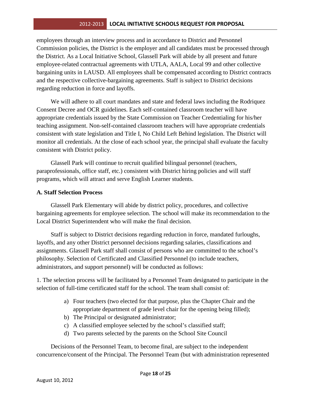employees through an interview process and in accordance to District and Personnel Commission policies, the District is the employer and all candidates must be processed through the District. As a Local Initiative School, Glassell Park will abide by all present and future employee-related contractual agreements with UTLA, AALA, Local 99 and other collective bargaining units in LAUSD. All employees shall be compensated according to District contracts and the respective collective-bargaining agreements. Staff is subject to District decisions regarding reduction in force and layoffs.

We will adhere to all court mandates and state and federal laws including the Rodriquez Consent Decree and OCR guidelines. Each self-contained classroom teacher will have appropriate credentials issued by the State Commission on Teacher Credentialing for his/her teaching assignment. Non-self-contained classroom teachers will have appropriate credentials consistent with state legislation and Title I, No Child Left Behind legislation. The District will monitor all credentials. At the close of each school year, the principal shall evaluate the faculty consistent with District policy.

Glassell Park will continue to recruit qualified bilingual personnel (teachers, paraprofessionals, office staff, etc.) consistent with District hiring policies and will staff programs, which will attract and serve English Learner students.

#### **A. Staff Selection Process**

Glassell Park Elementary will abide by district policy, procedures, and collective bargaining agreements for employee selection. The school will make its recommendation to the Local District Superintendent who will make the final decision.

Staff is subject to District decisions regarding reduction in force, mandated furloughs, layoffs, and any other District personnel decisions regarding salaries, classifications and assignments. Glassell Park staff shall consist of persons who are committed to the school's philosophy. Selection of Certificated and Classified Personnel (to include teachers, administrators, and support personnel) will be conducted as follows:

1. The selection process will be facilitated by a Personnel Team designated to participate in the selection of full-time certificated staff for the school. The team shall consist of:

- a) Four teachers (two elected for that purpose, plus the Chapter Chair and the appropriate department of grade level chair for the opening being filled);
- b) The Principal or designated administrator;
- c) A classified employee selected by the school's classified staff;
- d) Two parents selected by the parents on the School Site Council

Decisions of the Personnel Team, to become final, are subject to the independent concurrence/consent of the Principal. The Personnel Team (but with administration represented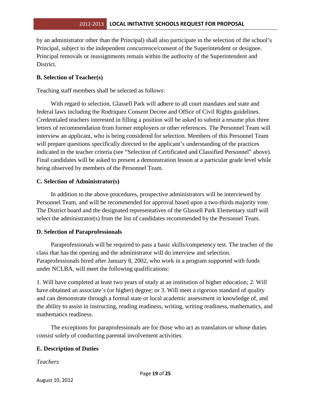by an administrator other than the Principal) shall also participate in the selection of the school's Principal, subject to the independent concurrence/consent of the Superintendent or designee. Principal removals or reassignments remain within the authority of the Superintendent and District.

## **B. Selection of Teacher(s)**

Teaching staff members shall be selected as follows:

With regard to selection, Glassell Park will adhere to all court mandates and state and federal laws including the Rodriquez Consent Decree and Office of Civil Rights guidelines. Credentialed teachers interested in filling a position will be asked to submit a resume plus three letters of recommendation from former employers or other references. The Personnel Team will interview an applicant, who is being considered for selection. Members of this Personnel Team will prepare questions specifically directed to the applicant's understanding of the practices indicated in the teacher criteria (see "Selection of Certificated and Classified Personnel" above). Final candidates will be asked to present a demonstration lesson at a particular grade level while being observed by members of the Personnel Team.

#### **C. Selection of Administrator(s)**

In addition to the above procedures, prospective administrators will be interviewed by Personnel Team, and will be recommended for approval based upon a two-thirds majority vote. The District board and the designated representatives of the Glassell Park Elementary staff will select the administrator(s) from the list of candidates recommended by the Personnel Team.

## **D. Selection of Paraprofessionals**

Paraprofessionals will be required to pass a basic skills/competency test. The teacher of the class that has the opening and the administrator will do interview and selection. Paraprofessionals hired after January 8, 2002, who work in a program supported with funds under NCLBA, will meet the following qualifications:

1. Will have completed at least two years of study at an institution of higher education; 2. Will have obtained an associate's (or higher) degree; or 3. Will meet a rigorous standard of quality and can demonstrate through a formal state or local academic assessment in knowledge of, and the ability to assist in instructing, reading readiness, writing, writing readiness, mathematics, and mathematics readiness.

The exceptions for paraprofessionals are for those who act as translators or whose duties consist solely of conducting parental involvement activities.

## **E. Description of Duties**

*Teachers*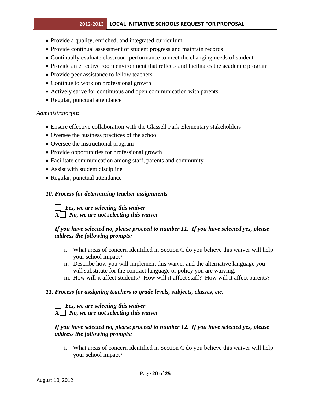- Provide a quality, enriched, and integrated curriculum
- Provide continual assessment of student progress and maintain records
- Continually evaluate classroom performance to meet the changing needs of student
- Provide an effective room environment that reflects and facilitates the academic program
- Provide peer assistance to fellow teachers
- Continue to work on professional growth
- Actively strive for continuous and open communication with parents
- Regular, punctual attendance

#### *Administrator(*s)**:**

- Ensure effective collaboration with the Glassell Park Elementary stakeholders
- Oversee the business practices of the school
- Oversee the instructional program
- Provide opportunities for professional growth
- Facilitate communication among staff, parents and community
- Assist with student discipline
- Regular, punctual attendance

#### *10. Process for determining teacher assignments*

 *Yes, we are selecting this waiver* **X** *No, we are not selecting this waiver*

#### *If you have selected no, please proceed to number 11. If you have selected yes, please address the following prompts:*

- i. What areas of concern identified in Section C do you believe this waiver will help your school impact?
- ii. Describe how you will implement this waiver and the alternative language you will substitute for the contract language or policy you are waiving.
- iii. How will it affect students? How will it affect staff? How will it affect parents?

#### *11. Process for assigning teachers to grade levels, subjects, classes, etc.*

 *Yes, we are selecting this waiver* **X** *No, we are not selecting this waiver*

#### *If you have selected no, please proceed to number 12. If you have selected yes, please address the following prompts:*

i. What areas of concern identified in Section C do you believe this waiver will help your school impact?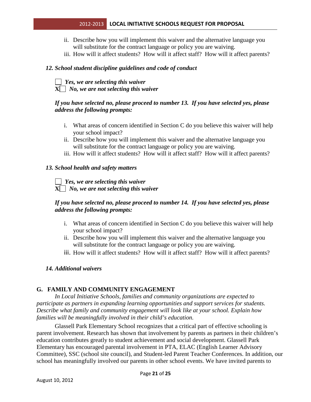- ii. Describe how you will implement this waiver and the alternative language you will substitute for the contract language or policy you are waiving.
- iii. How will it affect students? How will it affect staff? How will it affect parents?

#### *12. School student discipline guidelines and code of conduct*

#### *Yes, we are selecting this waiver*  $X \cap N$ *o, we are not selecting this waiver*

#### *If you have selected no, please proceed to number 13. If you have selected yes, please address the following prompts:*

- i. What areas of concern identified in Section C do you believe this waiver will help your school impact?
- ii. Describe how you will implement this waiver and the alternative language you will substitute for the contract language or policy you are waiving.
- iii. How will it affect students? How will it affect staff? How will it affect parents?

#### *13. School health and safety matters*

#### *Yes, we are selecting this waiver* **X** *No, we are not selecting this waiver*

#### *If you have selected no, please proceed to number 14. If you have selected yes, please address the following prompts:*

- i. What areas of concern identified in Section C do you believe this waiver will help your school impact?
- ii. Describe how you will implement this waiver and the alternative language you will substitute for the contract language or policy you are waiving.
- iii. How will it affect students? How will it affect staff? How will it affect parents?

#### *14. Additional waivers*

#### **G. FAMILY AND COMMUNITY ENGAGEMENT**

*In Local Initiative Schools, families and community organizations are expected to participate as partners in expanding learning opportunities and support services for students. Describe what family and community engagement will look like at your school. Explain how families will be meaningfully involved in their child's education.* 

Glassell Park Elementary School recognizes that a critical part of effective schooling is parent involvement. Research has shown that involvement by parents as partners in their children's education contributes greatly to student achievement and social development. Glassell Park Elementary has encouraged parental involvement in PTA, ELAC (English Learner Advisory Committee), SSC (school site council), and Student-led Parent Teacher Conferences. In addition, our school has meaningfully involved our parents in other school events. We have invited parents to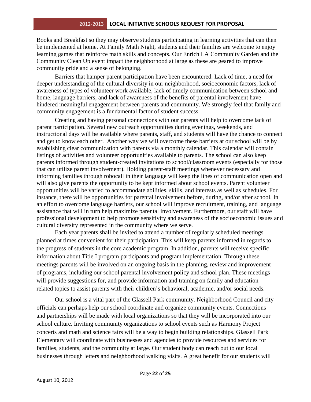Books and Breakfast so they may observe students participating in learning activities that can then be implemented at home. At Family Math Night, students and their families are welcome to enjoy learning games that reinforce math skills and concepts. Our Enrich LA Community Garden and the Community Clean Up event impact the neighborhood at large as these are geared to improve community pride and a sense of belonging.

Barriers that hamper parent participation have been encountered. Lack of time, a need for deeper understanding of the cultural diversity in our neighborhood, socioeconomic factors, lack of awareness of types of volunteer work available, lack of timely communication between school and home, language barriers, and lack of awareness of the benefits of parental involvement have hindered meaningful engagement between parents and community. We strongly feel that family and community engagement is a fundamental factor of student success.

Creating and having personal connections with our parents will help to overcome lack of parent participation. Several new outreach opportunities during evenings, weekends, and instructional days will be available where parents, staff, and students will have the chance to connect and get to know each other. Another way we will overcome these barriers at our school will be by establishing clear communication with parents via a monthly calendar. This calendar will contain listings of activities and volunteer opportunities available to parents. The school can also keep parents informed through student-created invitations to school/classroom events (especially for those that can utilize parent involvement). Holding parent-staff meetings whenever necessary and informing families through robocall in their language will keep the lines of communication open and will also give parents the opportunity to be kept informed about school events. Parent volunteer opportunities will be varied to accommodate abilities, skills, and interests as well as schedules. For instance, there will be opportunities for parental involvement before, during, and/or after school. In an effort to overcome language barriers, our school will improve recruitment, training, and language assistance that will in turn help maximize parental involvement. Furthermore, our staff will have professional development to help promote sensitivity and awareness of the socioeconomic issues and cultural diversity represented in the community where we serve*.*

Each year parents shall be invited to attend a number of regularly scheduled meetings planned at times convenient for their participation. This will keep parents informed in regards to the progress of students in the core academic program. In addition, parents will receive specific information about Title I program participants and program implementation. Through these meetings parents will be involved on an ongoing basis in the planning, review and improvement of programs, including our school parental involvement policy and school plan. These meetings will provide suggestions for, and provide information and training on family and education related topics to assist parents with their children's behavioral, academic, and/or social needs.

Our school is a vital part of the Glassell Park community. Neighborhood Council and city officials can perhaps help our school coordinate and organize community events. Connections and partnerships will be made with local organizations so that they will be incorporated into our school culture. Inviting community organizations to school events such as Harmony Project concerts and math and science fairs will be a way to begin building relationships. Glassell Park Elementary will coordinate with businesses and agencies to provide resources and services for families, students, and the community at large. Our student body can reach out to our local businesses through letters and neighborhood walking visits. A great benefit for our students will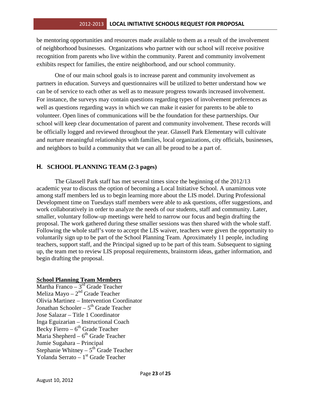be mentoring opportunities and resources made available to them as a result of the involvement of neighborhood businesses. Organizations who partner with our school will receive positive recognition from parents who live within the community. Parent and community involvement exhibits respect for families, the entire neighborhood, and our school community.

One of our main school goals is to increase parent and community involvement as partners in education. Surveys and questionnaires will be utilized to better understand how we can be of service to each other as well as to measure progress towards increased involvement. For instance, the surveys may contain questions regarding types of involvement preferences as well as questions regarding ways in which we can make it easier for parents to be able to volunteer. Open lines of communications will be the foundation for these partnerships. Our school will keep clear documentation of parent and community involvement. These records will be officially logged and reviewed throughout the year. Glassell Park Elementary will cultivate and nurture meaningful relationships with families, local organizations, city officials, businesses, and neighbors to build a community that we can all be proud to be a part of.

## **H. SCHOOL PLANNING TEAM (2-3 pages)**

The Glassell Park staff has met several times since the beginning of the 2012/13 academic year to discuss the option of becoming a Local Initiative School. A unamimous vote among staff members led us to begin learning more about the LIS model. During Professional Development time on Tuesdays staff members were able to ask questions, offer suggestions, and work collaboratively in order to analyze the needs of our students, staff and community. Later, smaller, voluntary follow-up meetings were held to narrow our focus and begin drafting the proposal. The work gathered during these smaller sessions was then shared with the whole staff. Following the whole staff's vote to accept the LIS waiver, teachers were given the opportunity to voluntarily sign up to be part of the School Planning Team. Aproximately 11 people, including teachers, support staff, and the Principal signed up to be part of this team. Subsequent to signing up, the team met to review LIS proposal requirements, brainstorm ideas, gather information, and begin drafting the proposal.

#### **School Planning Team Members**

Martha Franco - 3<sup>rd</sup> Grade Teacher Meliza Mayo  $-2<sup>nd</sup>$  Grade Teacher Olivia Martinez – Intervention Coordinator Jonathan Schooler –  $5<sup>th</sup>$  Grade Teacher Jose Salazar – Title 1 Coordinator Inga Eguizarian – Instructional Coach Becky Fierro –  $6<sup>th</sup>$  Grade Teacher Maria Shepherd –  $6<sup>th</sup>$  Grade Teacher Jumie Sugahara – Principal Stephanie Whitney – 5<sup>th</sup> Grade Teacher Yolanda Serrato - 1<sup>st</sup> Grade Teacher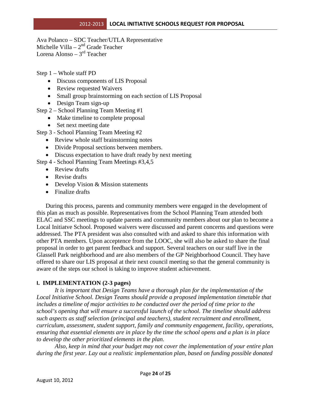Ava Polanco – SDC Teacher/UTLA Representative Michelle Villa –  $2<sup>nd</sup>$  Grade Teacher Lorena Alonso –  $3<sup>rd</sup>$  Teacher

Step 1 – Whole staff PD

- Discuss components of LIS Proposal
- Review requested Waivers
- Small group brainstorming on each section of LIS Proposal
- Design Team sign-up
- Step 2 School Planning Team Meeting #1
	- Make timeline to complete proposal
	- Set next meeting date

Step 3 - School Planning Team Meeting #2

- Review whole staff brainstorming notes
- Divide Proposal sections between members.
- Discuss expectation to have draft ready by next meeting

Step 4 - School Planning Team Meetings #3,4,5

- Review drafts
- Revise drafts
- Develop Vision & Mission statements
- Finalize drafts

During this process, parents and community members were engaged in the development of this plan as much as possible. Representatives from the School Planning Team attended both ELAC and SSC meetings to update parents and community members about our plan to become a Local Initiatve School. Proposed waivers were discussed and parent concerns and questions were addressed. The PTA president was also consulted with and asked to share this information with other PTA members. Upon acceptence from the LOOC, she will also be asked to share the final proposal in order to get parent feedback and support. Several teachers on our staff live in the Glassell Park neighborhood and are also members of the GP Neighborhood Council. They have offered to share our LIS proposal at their next council meeting so that the general community is aware of the steps our school is taking to improve student achievement.

#### **I. IMPLEMENTATION (2-3 pages)**

*It is important that Design Teams have a thorough plan for the implementation of the Local Initiative School. Design Teams should provide a proposed implementation timetable that includes a timeline of major activities to be conducted over the period of time prior to the school's opening that will ensure a successful launch of the school. The timeline should address such aspects as staff selection (principal and teachers), student recruitment and enrollment, curriculum, assessment, student support, family and community engagement, facility, operations, ensuring that essential elements are in place by the time the school opens and a plan is in place to develop the other prioritized elements in the plan.* 

*Also, keep in mind that your budget may not cover the implementation of your entire plan during the first year. Lay out a realistic implementation plan, based on funding possible donated*